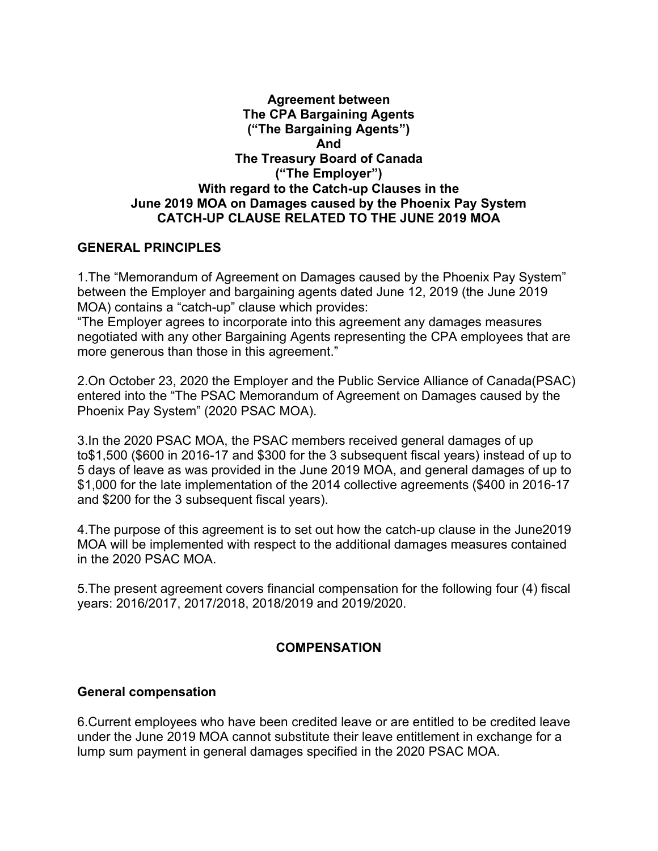#### **Agreement between The CPA Bargaining Agents ("The Bargaining Agents") And The Treasury Board of Canada ("The Employer") With regard to the Catch-up Clauses in the June 2019 MOA on Damages caused by the Phoenix Pay System CATCH-UP CLAUSE RELATED TO THE JUNE 2019 MOA**

## **GENERAL PRINCIPLES**

1.The "Memorandum of Agreement on Damages caused by the Phoenix Pay System" between the Employer and bargaining agents dated June 12, 2019 (the June 2019 MOA) contains a "catch-up" clause which provides:

"The Employer agrees to incorporate into this agreement any damages measures negotiated with any other Bargaining Agents representing the CPA employees that are more generous than those in this agreement."

2.On October 23, 2020 the Employer and the Public Service Alliance of Canada(PSAC) entered into the "The PSAC Memorandum of Agreement on Damages caused by the Phoenix Pay System" (2020 PSAC MOA).

3.In the 2020 PSAC MOA, the PSAC members received general damages of up to\$1,500 (\$600 in 2016-17 and \$300 for the 3 subsequent fiscal years) instead of up to 5 days of leave as was provided in the June 2019 MOA, and general damages of up to \$1,000 for the late implementation of the 2014 collective agreements (\$400 in 2016-17 and \$200 for the 3 subsequent fiscal years).

4.The purpose of this agreement is to set out how the catch-up clause in the June2019 MOA will be implemented with respect to the additional damages measures contained in the 2020 PSAC MOA.

5.The present agreement covers financial compensation for the following four (4) fiscal years: 2016/2017, 2017/2018, 2018/2019 and 2019/2020.

# **COMPENSATION**

#### **General compensation**

6.Current employees who have been credited leave or are entitled to be credited leave under the June 2019 MOA cannot substitute their leave entitlement in exchange for a lump sum payment in general damages specified in the 2020 PSAC MOA.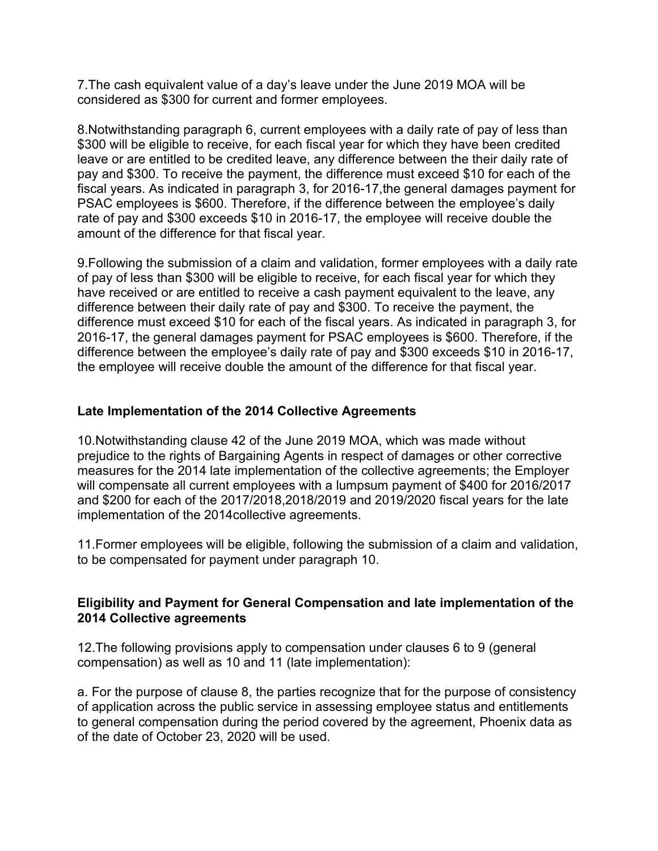7.The cash equivalent value of a day's leave under the June 2019 MOA will be considered as \$300 for current and former employees.

8.Notwithstanding paragraph 6, current employees with a daily rate of pay of less than \$300 will be eligible to receive, for each fiscal year for which they have been credited leave or are entitled to be credited leave, any difference between the their daily rate of pay and \$300. To receive the payment, the difference must exceed \$10 for each of the fiscal years. As indicated in paragraph 3, for 2016-17,the general damages payment for PSAC employees is \$600. Therefore, if the difference between the employee's daily rate of pay and \$300 exceeds \$10 in 2016-17, the employee will receive double the amount of the difference for that fiscal year.

9.Following the submission of a claim and validation, former employees with a daily rate of pay of less than \$300 will be eligible to receive, for each fiscal year for which they have received or are entitled to receive a cash payment equivalent to the leave, any difference between their daily rate of pay and \$300. To receive the payment, the difference must exceed \$10 for each of the fiscal years. As indicated in paragraph 3, for 2016-17, the general damages payment for PSAC employees is \$600. Therefore, if the difference between the employee's daily rate of pay and \$300 exceeds \$10 in 2016-17, the employee will receive double the amount of the difference for that fiscal year.

# **Late Implementation of the 2014 Collective Agreements**

10.Notwithstanding clause 42 of the June 2019 MOA, which was made without prejudice to the rights of Bargaining Agents in respect of damages or other corrective measures for the 2014 late implementation of the collective agreements; the Employer will compensate all current employees with a lumpsum payment of \$400 for 2016/2017 and \$200 for each of the 2017/2018,2018/2019 and 2019/2020 fiscal years for the late implementation of the 2014collective agreements.

11.Former employees will be eligible, following the submission of a claim and validation, to be compensated for payment under paragraph 10.

## **Eligibility and Payment for General Compensation and late implementation of the 2014 Collective agreements**

12.The following provisions apply to compensation under clauses 6 to 9 (general compensation) as well as 10 and 11 (late implementation):

a. For the purpose of clause 8, the parties recognize that for the purpose of consistency of application across the public service in assessing employee status and entitlements to general compensation during the period covered by the agreement, Phoenix data as of the date of October 23, 2020 will be used.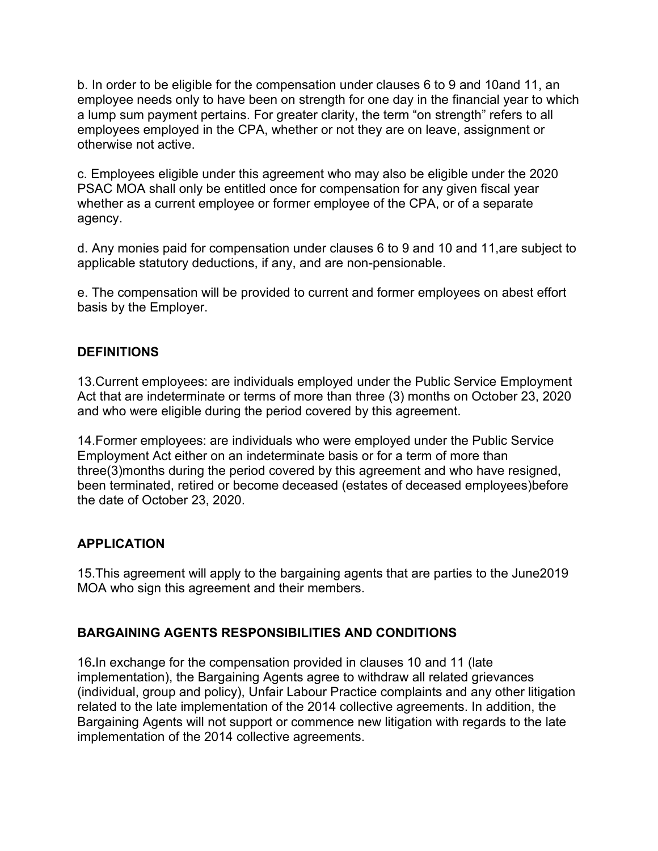b. In order to be eligible for the compensation under clauses 6 to 9 and 10and 11, an employee needs only to have been on strength for one day in the financial year to which a lump sum payment pertains. For greater clarity, the term "on strength" refers to all employees employed in the CPA, whether or not they are on leave, assignment or otherwise not active.

c. Employees eligible under this agreement who may also be eligible under the 2020 PSAC MOA shall only be entitled once for compensation for any given fiscal year whether as a current employee or former employee of the CPA, or of a separate agency.

d. Any monies paid for compensation under clauses 6 to 9 and 10 and 11,are subject to applicable statutory deductions, if any, and are non-pensionable.

e. The compensation will be provided to current and former employees on abest effort basis by the Employer.

# **DEFINITIONS**

13.Current employees: are individuals employed under the Public Service Employment Act that are indeterminate or terms of more than three (3) months on October 23, 2020 and who were eligible during the period covered by this agreement.

14.Former employees: are individuals who were employed under the Public Service Employment Act either on an indeterminate basis or for a term of more than three(3)months during the period covered by this agreement and who have resigned, been terminated, retired or become deceased (estates of deceased employees)before the date of October 23, 2020.

# **APPLICATION**

15.This agreement will apply to the bargaining agents that are parties to the June2019 MOA who sign this agreement and their members.

# **BARGAINING AGENTS RESPONSIBILITIES AND CONDITIONS**

16**.**In exchange for the compensation provided in clauses 10 and 11 (late implementation), the Bargaining Agents agree to withdraw all related grievances (individual, group and policy), Unfair Labour Practice complaints and any other litigation related to the late implementation of the 2014 collective agreements. In addition, the Bargaining Agents will not support or commence new litigation with regards to the late implementation of the 2014 collective agreements.